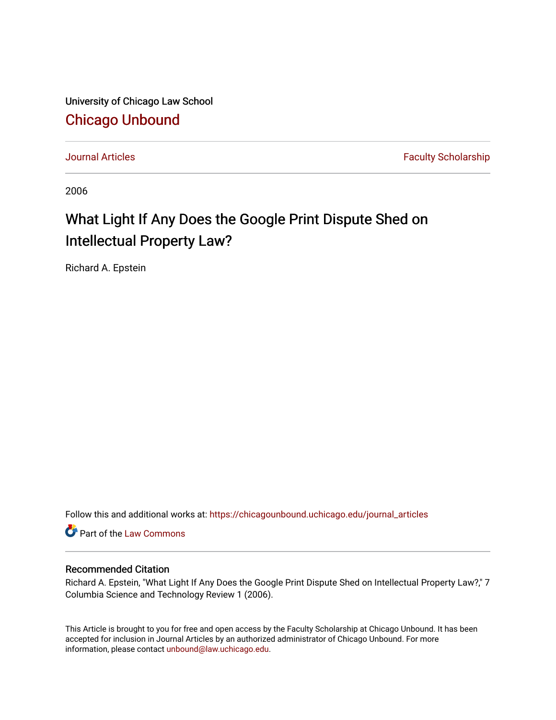University of Chicago Law School [Chicago Unbound](https://chicagounbound.uchicago.edu/)

[Journal Articles](https://chicagounbound.uchicago.edu/journal_articles) **Faculty Scholarship Journal Articles** 

2006

## What Light If Any Does the Google Print Dispute Shed on Intellectual Property Law?

Richard A. Epstein

Follow this and additional works at: [https://chicagounbound.uchicago.edu/journal\\_articles](https://chicagounbound.uchicago.edu/journal_articles?utm_source=chicagounbound.uchicago.edu%2Fjournal_articles%2F7403&utm_medium=PDF&utm_campaign=PDFCoverPages) 

Part of the [Law Commons](http://network.bepress.com/hgg/discipline/578?utm_source=chicagounbound.uchicago.edu%2Fjournal_articles%2F7403&utm_medium=PDF&utm_campaign=PDFCoverPages)

## Recommended Citation

Richard A. Epstein, "What Light If Any Does the Google Print Dispute Shed on Intellectual Property Law?," 7 Columbia Science and Technology Review 1 (2006).

This Article is brought to you for free and open access by the Faculty Scholarship at Chicago Unbound. It has been accepted for inclusion in Journal Articles by an authorized administrator of Chicago Unbound. For more information, please contact [unbound@law.uchicago.edu](mailto:unbound@law.uchicago.edu).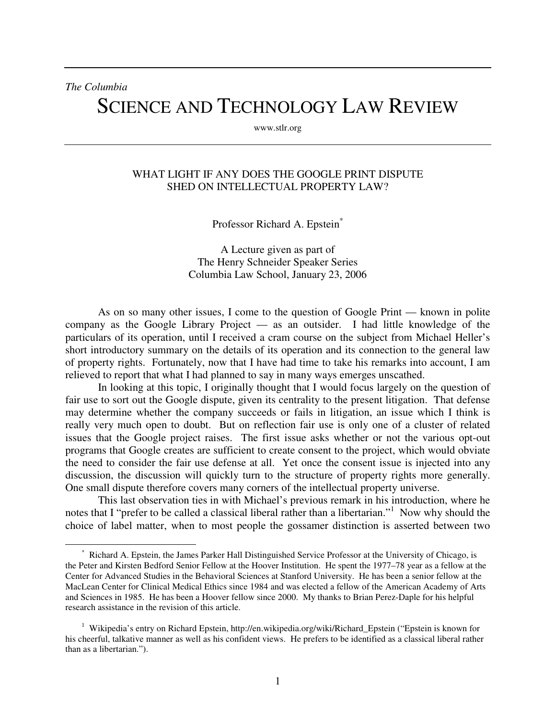*The Columbia*  SCIENCE AND TECHNOLOGY LAW REVIEW

www.stlr.org

## WHAT LIGHT IF ANY DOES THE GOOGLE PRINT DISPUTE SHED ON INTELLECTUAL PROPERTY LAW?

Professor Richard A. Epstein\*

A Lecture given as part of The Henry Schneider Speaker Series Columbia Law School, January 23, 2006

As on so many other issues, I come to the question of Google Print — known in polite company as the Google Library Project — as an outsider. I had little knowledge of the particulars of its operation, until I received a cram course on the subject from Michael Heller's short introductory summary on the details of its operation and its connection to the general law of property rights. Fortunately, now that I have had time to take his remarks into account, I am relieved to report that what I had planned to say in many ways emerges unscathed.

In looking at this topic, I originally thought that I would focus largely on the question of fair use to sort out the Google dispute, given its centrality to the present litigation. That defense may determine whether the company succeeds or fails in litigation, an issue which I think is really very much open to doubt. But on reflection fair use is only one of a cluster of related issues that the Google project raises. The first issue asks whether or not the various opt-out programs that Google creates are sufficient to create consent to the project, which would obviate the need to consider the fair use defense at all. Yet once the consent issue is injected into any discussion, the discussion will quickly turn to the structure of property rights more generally. One small dispute therefore covers many corners of the intellectual property universe.

This last observation ties in with Michael's previous remark in his introduction, where he notes that I "prefer to be called a classical liberal rather than a libertarian."<sup>1</sup> Now why should the choice of label matter, when to most people the gossamer distinction is asserted between two

<sup>\*</sup> Richard A. Epstein, the James Parker Hall Distinguished Service Professor at the University of Chicago, is the Peter and Kirsten Bedford Senior Fellow at the Hoover Institution. He spent the 1977–78 year as a fellow at the Center for Advanced Studies in the Behavioral Sciences at Stanford University. He has been a senior fellow at the MacLean Center for Clinical Medical Ethics since 1984 and was elected a fellow of the American Academy of Arts and Sciences in 1985. He has been a Hoover fellow since 2000. My thanks to Brian Perez-Daple for his helpful research assistance in the revision of this article.

<sup>&</sup>lt;sup>1</sup> Wikipedia's entry on Richard Epstein, http://en.wikipedia.org/wiki/Richard\_Epstein ("Epstein is known for his cheerful, talkative manner as well as his confident views. He prefers to be identified as a classical liberal rather than as a libertarian.").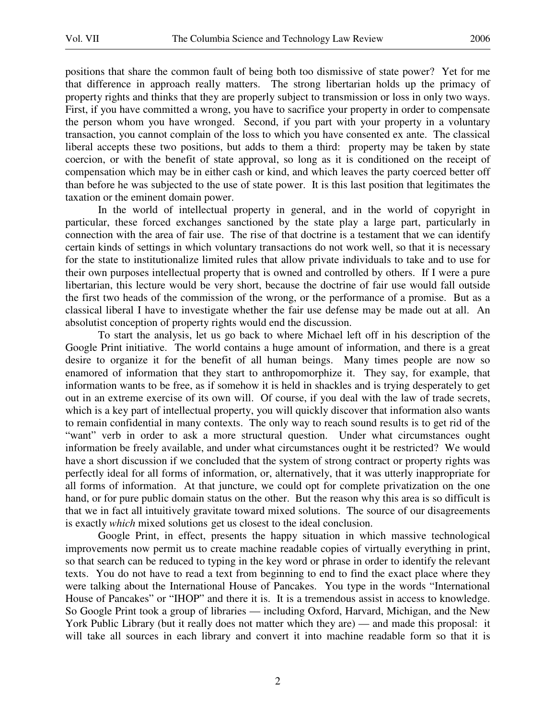positions that share the common fault of being both too dismissive of state power? Yet for me that difference in approach really matters. The strong libertarian holds up the primacy of property rights and thinks that they are properly subject to transmission or loss in only two ways. First, if you have committed a wrong, you have to sacrifice your property in order to compensate the person whom you have wronged. Second, if you part with your property in a voluntary transaction, you cannot complain of the loss to which you have consented ex ante. The classical liberal accepts these two positions, but adds to them a third: property may be taken by state coercion, or with the benefit of state approval, so long as it is conditioned on the receipt of compensation which may be in either cash or kind, and which leaves the party coerced better off than before he was subjected to the use of state power. It is this last position that legitimates the taxation or the eminent domain power.

In the world of intellectual property in general, and in the world of copyright in particular, these forced exchanges sanctioned by the state play a large part, particularly in connection with the area of fair use. The rise of that doctrine is a testament that we can identify certain kinds of settings in which voluntary transactions do not work well, so that it is necessary for the state to institutionalize limited rules that allow private individuals to take and to use for their own purposes intellectual property that is owned and controlled by others. If I were a pure libertarian, this lecture would be very short, because the doctrine of fair use would fall outside the first two heads of the commission of the wrong, or the performance of a promise. But as a classical liberal I have to investigate whether the fair use defense may be made out at all. An absolutist conception of property rights would end the discussion.

To start the analysis, let us go back to where Michael left off in his description of the Google Print initiative. The world contains a huge amount of information, and there is a great desire to organize it for the benefit of all human beings. Many times people are now so enamored of information that they start to anthropomorphize it. They say, for example, that information wants to be free, as if somehow it is held in shackles and is trying desperately to get out in an extreme exercise of its own will. Of course, if you deal with the law of trade secrets, which is a key part of intellectual property, you will quickly discover that information also wants to remain confidential in many contexts. The only way to reach sound results is to get rid of the "want" verb in order to ask a more structural question. Under what circumstances ought information be freely available, and under what circumstances ought it be restricted? We would have a short discussion if we concluded that the system of strong contract or property rights was perfectly ideal for all forms of information, or, alternatively, that it was utterly inappropriate for all forms of information. At that juncture, we could opt for complete privatization on the one hand, or for pure public domain status on the other. But the reason why this area is so difficult is that we in fact all intuitively gravitate toward mixed solutions. The source of our disagreements is exactly *which* mixed solutions get us closest to the ideal conclusion.

Google Print, in effect, presents the happy situation in which massive technological improvements now permit us to create machine readable copies of virtually everything in print, so that search can be reduced to typing in the key word or phrase in order to identify the relevant texts. You do not have to read a text from beginning to end to find the exact place where they were talking about the International House of Pancakes. You type in the words "International House of Pancakes" or "IHOP" and there it is. It is a tremendous assist in access to knowledge. So Google Print took a group of libraries — including Oxford, Harvard, Michigan, and the New York Public Library (but it really does not matter which they are) — and made this proposal: it will take all sources in each library and convert it into machine readable form so that it is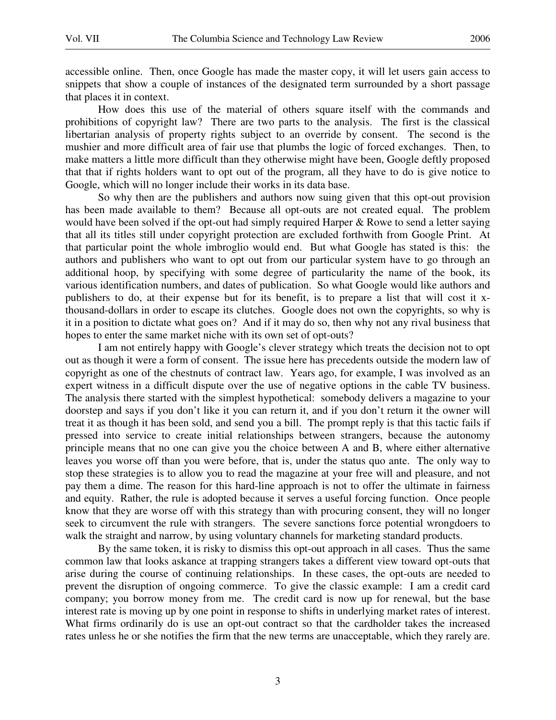accessible online. Then, once Google has made the master copy, it will let users gain access to snippets that show a couple of instances of the designated term surrounded by a short passage that places it in context.

 How does this use of the material of others square itself with the commands and prohibitions of copyright law? There are two parts to the analysis. The first is the classical libertarian analysis of property rights subject to an override by consent. The second is the mushier and more difficult area of fair use that plumbs the logic of forced exchanges. Then, to make matters a little more difficult than they otherwise might have been, Google deftly proposed that that if rights holders want to opt out of the program, all they have to do is give notice to Google, which will no longer include their works in its data base.

 So why then are the publishers and authors now suing given that this opt-out provision has been made available to them? Because all opt-outs are not created equal. The problem would have been solved if the opt-out had simply required Harper & Rowe to send a letter saying that all its titles still under copyright protection are excluded forthwith from Google Print. At that particular point the whole imbroglio would end. But what Google has stated is this: the authors and publishers who want to opt out from our particular system have to go through an additional hoop, by specifying with some degree of particularity the name of the book, its various identification numbers, and dates of publication. So what Google would like authors and publishers to do, at their expense but for its benefit, is to prepare a list that will cost it xthousand-dollars in order to escape its clutches. Google does not own the copyrights, so why is it in a position to dictate what goes on? And if it may do so, then why not any rival business that hopes to enter the same market niche with its own set of opt-outs?

 I am not entirely happy with Google's clever strategy which treats the decision not to opt out as though it were a form of consent. The issue here has precedents outside the modern law of copyright as one of the chestnuts of contract law. Years ago, for example, I was involved as an expert witness in a difficult dispute over the use of negative options in the cable TV business. The analysis there started with the simplest hypothetical: somebody delivers a magazine to your doorstep and says if you don't like it you can return it, and if you don't return it the owner will treat it as though it has been sold, and send you a bill. The prompt reply is that this tactic fails if pressed into service to create initial relationships between strangers, because the autonomy principle means that no one can give you the choice between A and B, where either alternative leaves you worse off than you were before, that is, under the status quo ante. The only way to stop these strategies is to allow you to read the magazine at your free will and pleasure, and not pay them a dime. The reason for this hard-line approach is not to offer the ultimate in fairness and equity. Rather, the rule is adopted because it serves a useful forcing function. Once people know that they are worse off with this strategy than with procuring consent, they will no longer seek to circumvent the rule with strangers. The severe sanctions force potential wrongdoers to walk the straight and narrow, by using voluntary channels for marketing standard products.

 By the same token, it is risky to dismiss this opt-out approach in all cases. Thus the same common law that looks askance at trapping strangers takes a different view toward opt-outs that arise during the course of continuing relationships. In these cases, the opt-outs are needed to prevent the disruption of ongoing commerce. To give the classic example: I am a credit card company; you borrow money from me. The credit card is now up for renewal, but the base interest rate is moving up by one point in response to shifts in underlying market rates of interest. What firms ordinarily do is use an opt-out contract so that the cardholder takes the increased rates unless he or she notifies the firm that the new terms are unacceptable, which they rarely are.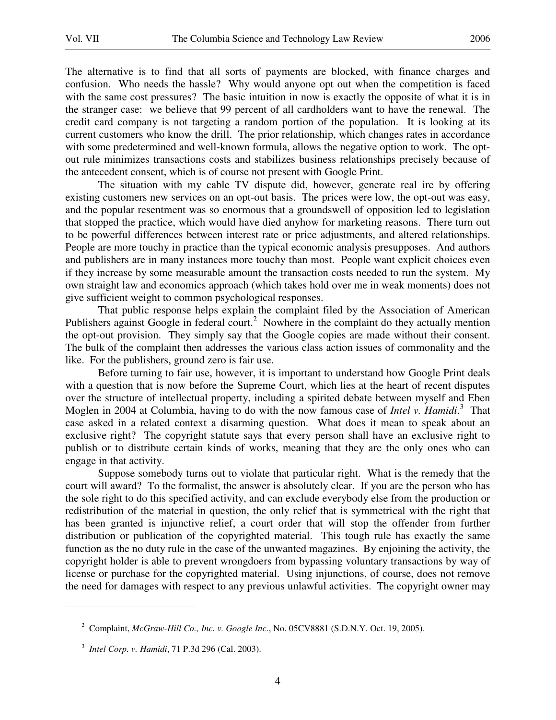The alternative is to find that all sorts of payments are blocked, with finance charges and confusion. Who needs the hassle? Why would anyone opt out when the competition is faced with the same cost pressures? The basic intuition in now is exactly the opposite of what it is in the stranger case: we believe that 99 percent of all cardholders want to have the renewal. The credit card company is not targeting a random portion of the population. It is looking at its current customers who know the drill. The prior relationship, which changes rates in accordance with some predetermined and well-known formula, allows the negative option to work. The optout rule minimizes transactions costs and stabilizes business relationships precisely because of the antecedent consent, which is of course not present with Google Print.

 The situation with my cable TV dispute did, however, generate real ire by offering existing customers new services on an opt-out basis. The prices were low, the opt-out was easy, and the popular resentment was so enormous that a groundswell of opposition led to legislation that stopped the practice, which would have died anyhow for marketing reasons. There turn out to be powerful differences between interest rate or price adjustments, and altered relationships. People are more touchy in practice than the typical economic analysis presupposes. And authors and publishers are in many instances more touchy than most. People want explicit choices even if they increase by some measurable amount the transaction costs needed to run the system. My own straight law and economics approach (which takes hold over me in weak moments) does not give sufficient weight to common psychological responses.

 That public response helps explain the complaint filed by the Association of American Publishers against Google in federal court.<sup>2</sup> Nowhere in the complaint do they actually mention the opt-out provision. They simply say that the Google copies are made without their consent. The bulk of the complaint then addresses the various class action issues of commonality and the like. For the publishers, ground zero is fair use.

 Before turning to fair use, however, it is important to understand how Google Print deals with a question that is now before the Supreme Court, which lies at the heart of recent disputes over the structure of intellectual property, including a spirited debate between myself and Eben Moglen in 2004 at Columbia, having to do with the now famous case of *Intel v. Hamidi*. 3 That case asked in a related context a disarming question. What does it mean to speak about an exclusive right? The copyright statute says that every person shall have an exclusive right to publish or to distribute certain kinds of works, meaning that they are the only ones who can engage in that activity.

 Suppose somebody turns out to violate that particular right. What is the remedy that the court will award? To the formalist, the answer is absolutely clear. If you are the person who has the sole right to do this specified activity, and can exclude everybody else from the production or redistribution of the material in question, the only relief that is symmetrical with the right that has been granted is injunctive relief, a court order that will stop the offender from further distribution or publication of the copyrighted material. This tough rule has exactly the same function as the no duty rule in the case of the unwanted magazines. By enjoining the activity, the copyright holder is able to prevent wrongdoers from bypassing voluntary transactions by way of license or purchase for the copyrighted material. Using injunctions, of course, does not remove the need for damages with respect to any previous unlawful activities. The copyright owner may

<sup>2</sup> Complaint, *McGraw-Hill Co., Inc. v. Google Inc.*, No. 05CV8881 (S.D.N.Y. Oct. 19, 2005).

<sup>3</sup> *Intel Corp. v. Hamidi*, 71 P.3d 296 (Cal. 2003).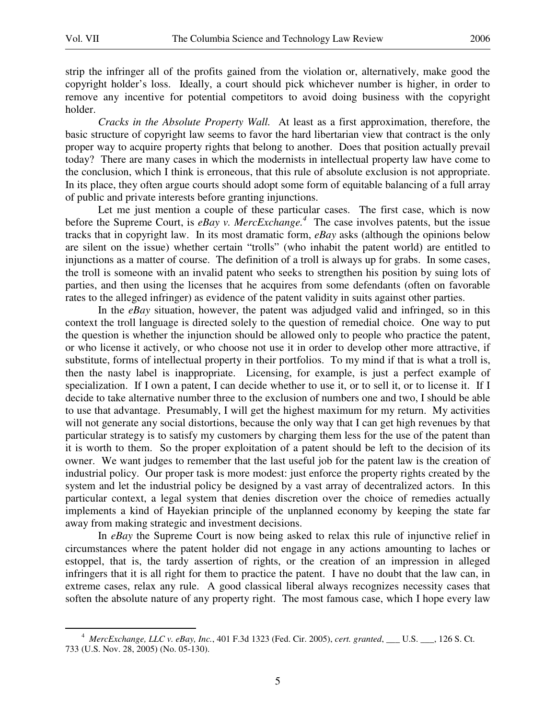$\overline{a}$ 

strip the infringer all of the profits gained from the violation or, alternatively, make good the copyright holder's loss. Ideally, a court should pick whichever number is higher, in order to remove any incentive for potential competitors to avoid doing business with the copyright holder.

*Cracks in the Absolute Property Wall.* At least as a first approximation, therefore, the basic structure of copyright law seems to favor the hard libertarian view that contract is the only proper way to acquire property rights that belong to another. Does that position actually prevail today? There are many cases in which the modernists in intellectual property law have come to the conclusion, which I think is erroneous, that this rule of absolute exclusion is not appropriate. In its place, they often argue courts should adopt some form of equitable balancing of a full array of public and private interests before granting injunctions.

 Let me just mention a couple of these particular cases. The first case, which is now before the Supreme Court, is *eBay v. MercExchange.<sup>4</sup>* The case involves patents, but the issue tracks that in copyright law. In its most dramatic form, *eBay* asks (although the opinions below are silent on the issue) whether certain "trolls" (who inhabit the patent world) are entitled to injunctions as a matter of course. The definition of a troll is always up for grabs. In some cases, the troll is someone with an invalid patent who seeks to strengthen his position by suing lots of parties, and then using the licenses that he acquires from some defendants (often on favorable rates to the alleged infringer) as evidence of the patent validity in suits against other parties.

In the *eBay* situation, however, the patent was adjudged valid and infringed, so in this context the troll language is directed solely to the question of remedial choice. One way to put the question is whether the injunction should be allowed only to people who practice the patent, or who license it actively, or who choose not use it in order to develop other more attractive, if substitute, forms of intellectual property in their portfolios. To my mind if that is what a troll is, then the nasty label is inappropriate. Licensing, for example, is just a perfect example of specialization. If I own a patent, I can decide whether to use it, or to sell it, or to license it. If I decide to take alternative number three to the exclusion of numbers one and two, I should be able to use that advantage. Presumably, I will get the highest maximum for my return. My activities will not generate any social distortions, because the only way that I can get high revenues by that particular strategy is to satisfy my customers by charging them less for the use of the patent than it is worth to them. So the proper exploitation of a patent should be left to the decision of its owner. We want judges to remember that the last useful job for the patent law is the creation of industrial policy. Our proper task is more modest: just enforce the property rights created by the system and let the industrial policy be designed by a vast array of decentralized actors. In this particular context, a legal system that denies discretion over the choice of remedies actually implements a kind of Hayekian principle of the unplanned economy by keeping the state far away from making strategic and investment decisions.

In *eBay* the Supreme Court is now being asked to relax this rule of injunctive relief in circumstances where the patent holder did not engage in any actions amounting to laches or estoppel, that is, the tardy assertion of rights, or the creation of an impression in alleged infringers that it is all right for them to practice the patent. I have no doubt that the law can, in extreme cases, relax any rule. A good classical liberal always recognizes necessity cases that soften the absolute nature of any property right. The most famous case, which I hope every law

<sup>4</sup> *MercExchange, LLC v. eBay, Inc.*, 401 F.3d 1323 (Fed. Cir. 2005), *cert. granted*, \_\_\_ U.S. \_\_\_, 126 S. Ct. 733 (U.S. Nov. 28, 2005) (No. 05-130).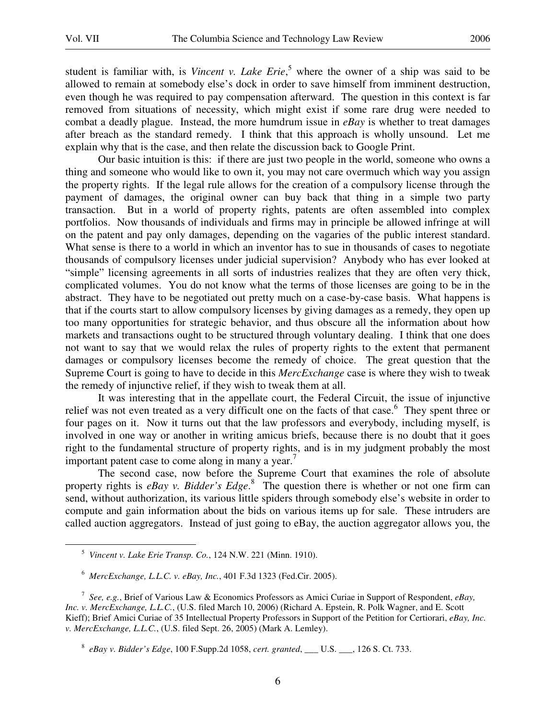$\overline{a}$ 

student is familiar with, is *Vincent v. Lake Erie*,<sup>5</sup> where the owner of a ship was said to be allowed to remain at somebody else's dock in order to save himself from imminent destruction, even though he was required to pay compensation afterward. The question in this context is far removed from situations of necessity, which might exist if some rare drug were needed to combat a deadly plague. Instead, the more humdrum issue in *eBay* is whether to treat damages after breach as the standard remedy. I think that this approach is wholly unsound. Let me explain why that is the case, and then relate the discussion back to Google Print.

 Our basic intuition is this: if there are just two people in the world, someone who owns a thing and someone who would like to own it, you may not care overmuch which way you assign the property rights. If the legal rule allows for the creation of a compulsory license through the payment of damages, the original owner can buy back that thing in a simple two party transaction. But in a world of property rights, patents are often assembled into complex portfolios. Now thousands of individuals and firms may in principle be allowed infringe at will on the patent and pay only damages, depending on the vagaries of the public interest standard. What sense is there to a world in which an inventor has to sue in thousands of cases to negotiate thousands of compulsory licenses under judicial supervision? Anybody who has ever looked at "simple" licensing agreements in all sorts of industries realizes that they are often very thick, complicated volumes. You do not know what the terms of those licenses are going to be in the abstract. They have to be negotiated out pretty much on a case-by-case basis. What happens is that if the courts start to allow compulsory licenses by giving damages as a remedy, they open up too many opportunities for strategic behavior, and thus obscure all the information about how markets and transactions ought to be structured through voluntary dealing. I think that one does not want to say that we would relax the rules of property rights to the extent that permanent damages or compulsory licenses become the remedy of choice. The great question that the Supreme Court is going to have to decide in this *MercExchange* case is where they wish to tweak the remedy of injunctive relief, if they wish to tweak them at all.

 It was interesting that in the appellate court, the Federal Circuit, the issue of injunctive relief was not even treated as a very difficult one on the facts of that case.<sup>6</sup> They spent three or four pages on it. Now it turns out that the law professors and everybody, including myself, is involved in one way or another in writing amicus briefs, because there is no doubt that it goes right to the fundamental structure of property rights, and is in my judgment probably the most important patent case to come along in many a year.<sup>7</sup>

 The second case, now before the Supreme Court that examines the role of absolute property rights is *eBay v. Bidder's Edge*. 8 The question there is whether or not one firm can send, without authorization, its various little spiders through somebody else's website in order to compute and gain information about the bids on various items up for sale. These intruders are called auction aggregators. Instead of just going to eBay, the auction aggregator allows you, the

<sup>5</sup> *Vincent v. Lake Erie Transp. Co.*, 124 N.W. 221 (Minn. 1910).

<sup>6</sup> *MercExchange, L.L.C. v. eBay, Inc.*, 401 F.3d 1323 (Fed.Cir. 2005).

<sup>7</sup> *See, e.g.*, Brief of Various Law & Economics Professors as Amici Curiae in Support of Respondent, *eBay, Inc. v. MercExchange, L.L.C.*, (U.S. filed March 10, 2006) (Richard A. Epstein, R. Polk Wagner, and E. Scott Kieff); Brief Amici Curiae of 35 Intellectual Property Professors in Support of the Petition for Certiorari, *eBay, Inc. v. MercExchange, L.L.C.*, (U.S. filed Sept. 26, 2005) (Mark A. Lemley).

<sup>8</sup> *eBay v. Bidder's Edge*, 100 F.Supp.2d 1058, *cert. granted*, \_\_\_ U.S. \_\_\_, 126 S. Ct. 733.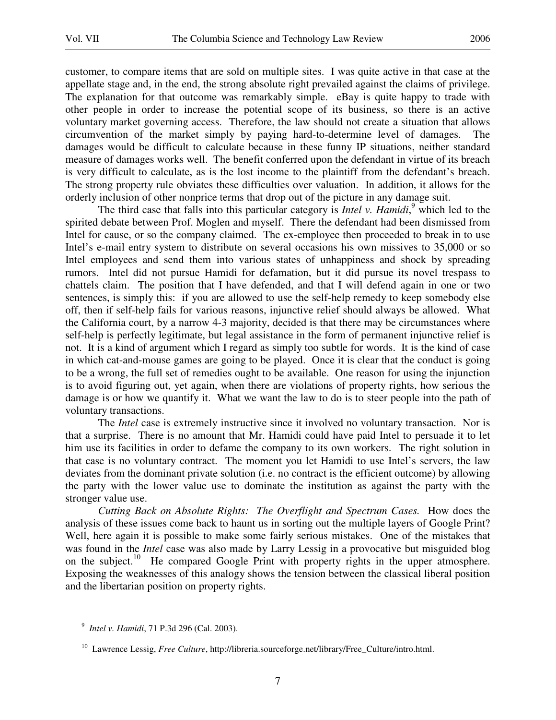customer, to compare items that are sold on multiple sites. I was quite active in that case at the appellate stage and, in the end, the strong absolute right prevailed against the claims of privilege. The explanation for that outcome was remarkably simple. eBay is quite happy to trade with other people in order to increase the potential scope of its business, so there is an active voluntary market governing access. Therefore, the law should not create a situation that allows circumvention of the market simply by paying hard-to-determine level of damages. The damages would be difficult to calculate because in these funny IP situations, neither standard measure of damages works well. The benefit conferred upon the defendant in virtue of its breach is very difficult to calculate, as is the lost income to the plaintiff from the defendant's breach. The strong property rule obviates these difficulties over valuation. In addition, it allows for the orderly inclusion of other nonprice terms that drop out of the picture in any damage suit.

The third case that falls into this particular category is *Intel v. Hamidi*,<sup>9</sup> which led to the spirited debate between Prof. Moglen and myself. There the defendant had been dismissed from Intel for cause, or so the company claimed. The ex-employee then proceeded to break in to use Intel's e-mail entry system to distribute on several occasions his own missives to 35,000 or so Intel employees and send them into various states of unhappiness and shock by spreading rumors. Intel did not pursue Hamidi for defamation, but it did pursue its novel trespass to chattels claim. The position that I have defended, and that I will defend again in one or two sentences, is simply this: if you are allowed to use the self-help remedy to keep somebody else off, then if self-help fails for various reasons, injunctive relief should always be allowed. What the California court, by a narrow 4-3 majority, decided is that there may be circumstances where self-help is perfectly legitimate, but legal assistance in the form of permanent injunctive relief is not. It is a kind of argument which I regard as simply too subtle for words. It is the kind of case in which cat-and-mouse games are going to be played. Once it is clear that the conduct is going to be a wrong, the full set of remedies ought to be available. One reason for using the injunction is to avoid figuring out, yet again, when there are violations of property rights, how serious the damage is or how we quantify it. What we want the law to do is to steer people into the path of voluntary transactions.

 The *Intel* case is extremely instructive since it involved no voluntary transaction. Nor is that a surprise. There is no amount that Mr. Hamidi could have paid Intel to persuade it to let him use its facilities in order to defame the company to its own workers. The right solution in that case is no voluntary contract. The moment you let Hamidi to use Intel's servers, the law deviates from the dominant private solution (i.e. no contract is the efficient outcome) by allowing the party with the lower value use to dominate the institution as against the party with the stronger value use.

*Cutting Back on Absolute Rights: The Overflight and Spectrum Cases.* How does the analysis of these issues come back to haunt us in sorting out the multiple layers of Google Print? Well, here again it is possible to make some fairly serious mistakes. One of the mistakes that was found in the *Intel* case was also made by Larry Lessig in a provocative but misguided blog on the subject.<sup>10</sup> He compared Google Print with property rights in the upper atmosphere. Exposing the weaknesses of this analogy shows the tension between the classical liberal position and the libertarian position on property rights.

<sup>9</sup> *Intel v. Hamidi*, 71 P.3d 296 (Cal. 2003).

<sup>&</sup>lt;sup>10</sup> Lawrence Lessig, *Free Culture*, http://libreria.sourceforge.net/library/Free\_Culture/intro.html.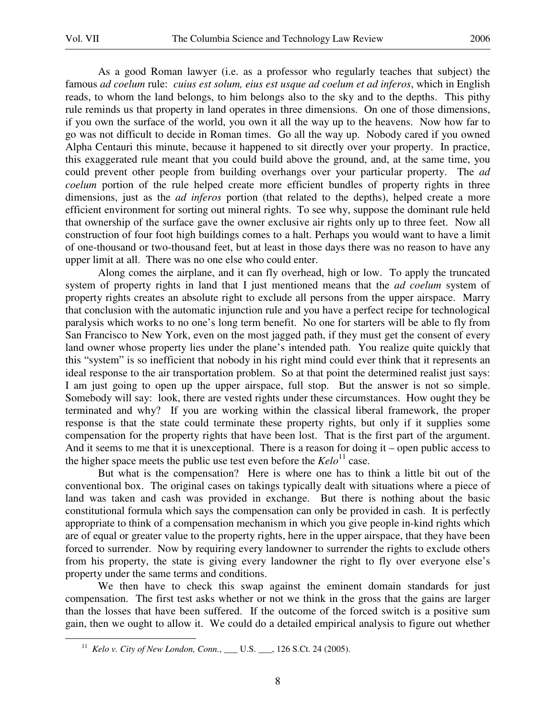$\overline{a}$ 

 As a good Roman lawyer (i.e. as a professor who regularly teaches that subject) the famous *ad coelum* rule: *cuius est solum, eius est usque ad coelum et ad inferos*, which in English reads, to whom the land belongs, to him belongs also to the sky and to the depths. This pithy rule reminds us that property in land operates in three dimensions. On one of those dimensions, if you own the surface of the world, you own it all the way up to the heavens. Now how far to go was not difficult to decide in Roman times. Go all the way up. Nobody cared if you owned Alpha Centauri this minute, because it happened to sit directly over your property. In practice, this exaggerated rule meant that you could build above the ground, and, at the same time, you could prevent other people from building overhangs over your particular property. The *ad coelum* portion of the rule helped create more efficient bundles of property rights in three dimensions, just as the *ad inferos* portion (that related to the depths), helped create a more efficient environment for sorting out mineral rights. To see why, suppose the dominant rule held that ownership of the surface gave the owner exclusive air rights only up to three feet. Now all construction of four foot high buildings comes to a halt. Perhaps you would want to have a limit of one-thousand or two-thousand feet, but at least in those days there was no reason to have any upper limit at all. There was no one else who could enter.

 Along comes the airplane, and it can fly overhead, high or low. To apply the truncated system of property rights in land that I just mentioned means that the *ad coelum* system of property rights creates an absolute right to exclude all persons from the upper airspace. Marry that conclusion with the automatic injunction rule and you have a perfect recipe for technological paralysis which works to no one's long term benefit. No one for starters will be able to fly from San Francisco to New York, even on the most jagged path, if they must get the consent of every land owner whose property lies under the plane's intended path. You realize quite quickly that this "system" is so inefficient that nobody in his right mind could ever think that it represents an ideal response to the air transportation problem. So at that point the determined realist just says: I am just going to open up the upper airspace, full stop. But the answer is not so simple. Somebody will say: look, there are vested rights under these circumstances. How ought they be terminated and why? If you are working within the classical liberal framework, the proper response is that the state could terminate these property rights, but only if it supplies some compensation for the property rights that have been lost. That is the first part of the argument. And it seems to me that it is unexceptional. There is a reason for doing it – open public access to the higher space meets the public use test even before the  $Kelo<sup>11</sup>$  case.

 But what is the compensation? Here is where one has to think a little bit out of the conventional box. The original cases on takings typically dealt with situations where a piece of land was taken and cash was provided in exchange. But there is nothing about the basic constitutional formula which says the compensation can only be provided in cash. It is perfectly appropriate to think of a compensation mechanism in which you give people in-kind rights which are of equal or greater value to the property rights, here in the upper airspace, that they have been forced to surrender. Now by requiring every landowner to surrender the rights to exclude others from his property, the state is giving every landowner the right to fly over everyone else's property under the same terms and conditions.

 We then have to check this swap against the eminent domain standards for just compensation. The first test asks whether or not we think in the gross that the gains are larger than the losses that have been suffered. If the outcome of the forced switch is a positive sum gain, then we ought to allow it. We could do a detailed empirical analysis to figure out whether

<sup>&</sup>lt;sup>11</sup> Kelo v. City of New London, Conn., \_\_\_ U.S. \_\_\_, 126 S.Ct. 24 (2005).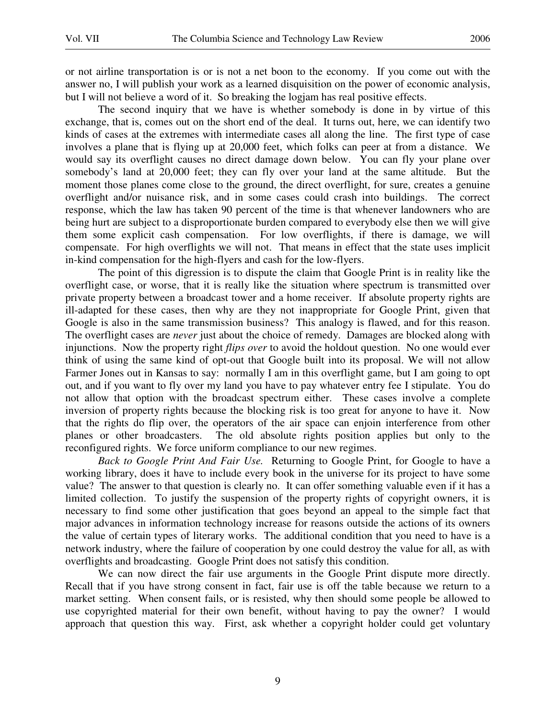or not airline transportation is or is not a net boon to the economy. If you come out with the answer no, I will publish your work as a learned disquisition on the power of economic analysis, but I will not believe a word of it. So breaking the logjam has real positive effects.

 The second inquiry that we have is whether somebody is done in by virtue of this exchange, that is, comes out on the short end of the deal. It turns out, here, we can identify two kinds of cases at the extremes with intermediate cases all along the line. The first type of case involves a plane that is flying up at 20,000 feet, which folks can peer at from a distance. We would say its overflight causes no direct damage down below. You can fly your plane over somebody's land at 20,000 feet; they can fly over your land at the same altitude. But the moment those planes come close to the ground, the direct overflight, for sure, creates a genuine overflight and/or nuisance risk, and in some cases could crash into buildings. The correct response, which the law has taken 90 percent of the time is that whenever landowners who are being hurt are subject to a disproportionate burden compared to everybody else then we will give them some explicit cash compensation. For low overflights, if there is damage, we will compensate. For high overflights we will not. That means in effect that the state uses implicit in-kind compensation for the high-flyers and cash for the low-flyers.

 The point of this digression is to dispute the claim that Google Print is in reality like the overflight case, or worse, that it is really like the situation where spectrum is transmitted over private property between a broadcast tower and a home receiver. If absolute property rights are ill-adapted for these cases, then why are they not inappropriate for Google Print, given that Google is also in the same transmission business? This analogy is flawed, and for this reason. The overflight cases are *never* just about the choice of remedy. Damages are blocked along with injunctions. Now the property right *flips over* to avoid the holdout question. No one would ever think of using the same kind of opt-out that Google built into its proposal. We will not allow Farmer Jones out in Kansas to say: normally I am in this overflight game, but I am going to opt out, and if you want to fly over my land you have to pay whatever entry fee I stipulate. You do not allow that option with the broadcast spectrum either. These cases involve a complete inversion of property rights because the blocking risk is too great for anyone to have it. Now that the rights do flip over, the operators of the air space can enjoin interference from other planes or other broadcasters. The old absolute rights position applies but only to the reconfigured rights. We force uniform compliance to our new regimes.

*Back to Google Print And Fair Use.* Returning to Google Print, for Google to have a working library, does it have to include every book in the universe for its project to have some value? The answer to that question is clearly no. It can offer something valuable even if it has a limited collection. To justify the suspension of the property rights of copyright owners, it is necessary to find some other justification that goes beyond an appeal to the simple fact that major advances in information technology increase for reasons outside the actions of its owners the value of certain types of literary works. The additional condition that you need to have is a network industry, where the failure of cooperation by one could destroy the value for all, as with overflights and broadcasting. Google Print does not satisfy this condition.

 We can now direct the fair use arguments in the Google Print dispute more directly. Recall that if you have strong consent in fact, fair use is off the table because we return to a market setting. When consent fails, or is resisted, why then should some people be allowed to use copyrighted material for their own benefit, without having to pay the owner? I would approach that question this way. First, ask whether a copyright holder could get voluntary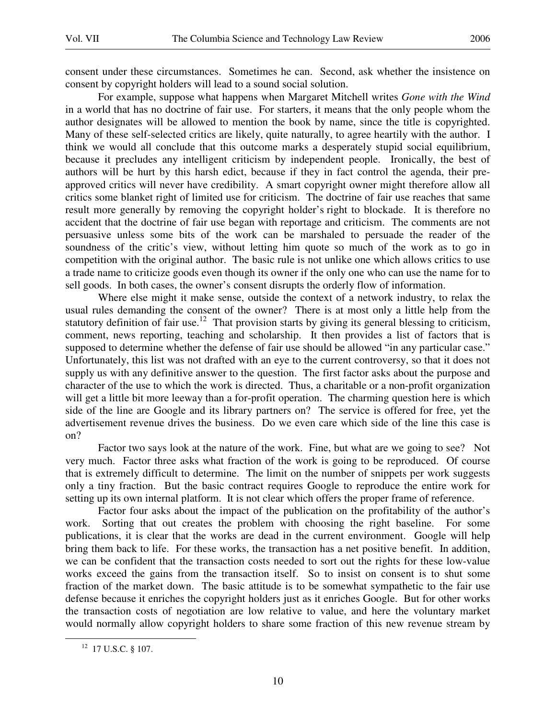consent under these circumstances. Sometimes he can. Second, ask whether the insistence on consent by copyright holders will lead to a sound social solution.

 For example, suppose what happens when Margaret Mitchell writes *Gone with the Wind* in a world that has no doctrine of fair use. For starters, it means that the only people whom the author designates will be allowed to mention the book by name, since the title is copyrighted. Many of these self-selected critics are likely, quite naturally, to agree heartily with the author. I think we would all conclude that this outcome marks a desperately stupid social equilibrium, because it precludes any intelligent criticism by independent people. Ironically, the best of authors will be hurt by this harsh edict, because if they in fact control the agenda, their preapproved critics will never have credibility. A smart copyright owner might therefore allow all critics some blanket right of limited use for criticism. The doctrine of fair use reaches that same result more generally by removing the copyright holder's right to blockade. It is therefore no accident that the doctrine of fair use began with reportage and criticism. The comments are not persuasive unless some bits of the work can be marshaled to persuade the reader of the soundness of the critic's view, without letting him quote so much of the work as to go in competition with the original author. The basic rule is not unlike one which allows critics to use a trade name to criticize goods even though its owner if the only one who can use the name for to sell goods. In both cases, the owner's consent disrupts the orderly flow of information.

 Where else might it make sense, outside the context of a network industry, to relax the usual rules demanding the consent of the owner? There is at most only a little help from the statutory definition of fair use.<sup>12</sup> That provision starts by giving its general blessing to criticism, comment, news reporting, teaching and scholarship. It then provides a list of factors that is supposed to determine whether the defense of fair use should be allowed "in any particular case." Unfortunately, this list was not drafted with an eye to the current controversy, so that it does not supply us with any definitive answer to the question. The first factor asks about the purpose and character of the use to which the work is directed. Thus, a charitable or a non-profit organization will get a little bit more leeway than a for-profit operation. The charming question here is which side of the line are Google and its library partners on? The service is offered for free, yet the advertisement revenue drives the business. Do we even care which side of the line this case is on?

 Factor two says look at the nature of the work. Fine, but what are we going to see? Not very much. Factor three asks what fraction of the work is going to be reproduced. Of course that is extremely difficult to determine. The limit on the number of snippets per work suggests only a tiny fraction. But the basic contract requires Google to reproduce the entire work for setting up its own internal platform. It is not clear which offers the proper frame of reference.

Factor four asks about the impact of the publication on the profitability of the author's work. Sorting that out creates the problem with choosing the right baseline. For some publications, it is clear that the works are dead in the current environment. Google will help bring them back to life. For these works, the transaction has a net positive benefit. In addition, we can be confident that the transaction costs needed to sort out the rights for these low-value works exceed the gains from the transaction itself. So to insist on consent is to shut some fraction of the market down. The basic attitude is to be somewhat sympathetic to the fair use defense because it enriches the copyright holders just as it enriches Google. But for other works the transaction costs of negotiation are low relative to value, and here the voluntary market would normally allow copyright holders to share some fraction of this new revenue stream by

<sup>&</sup>lt;sup>12</sup> 17 U.S.C. § 107.